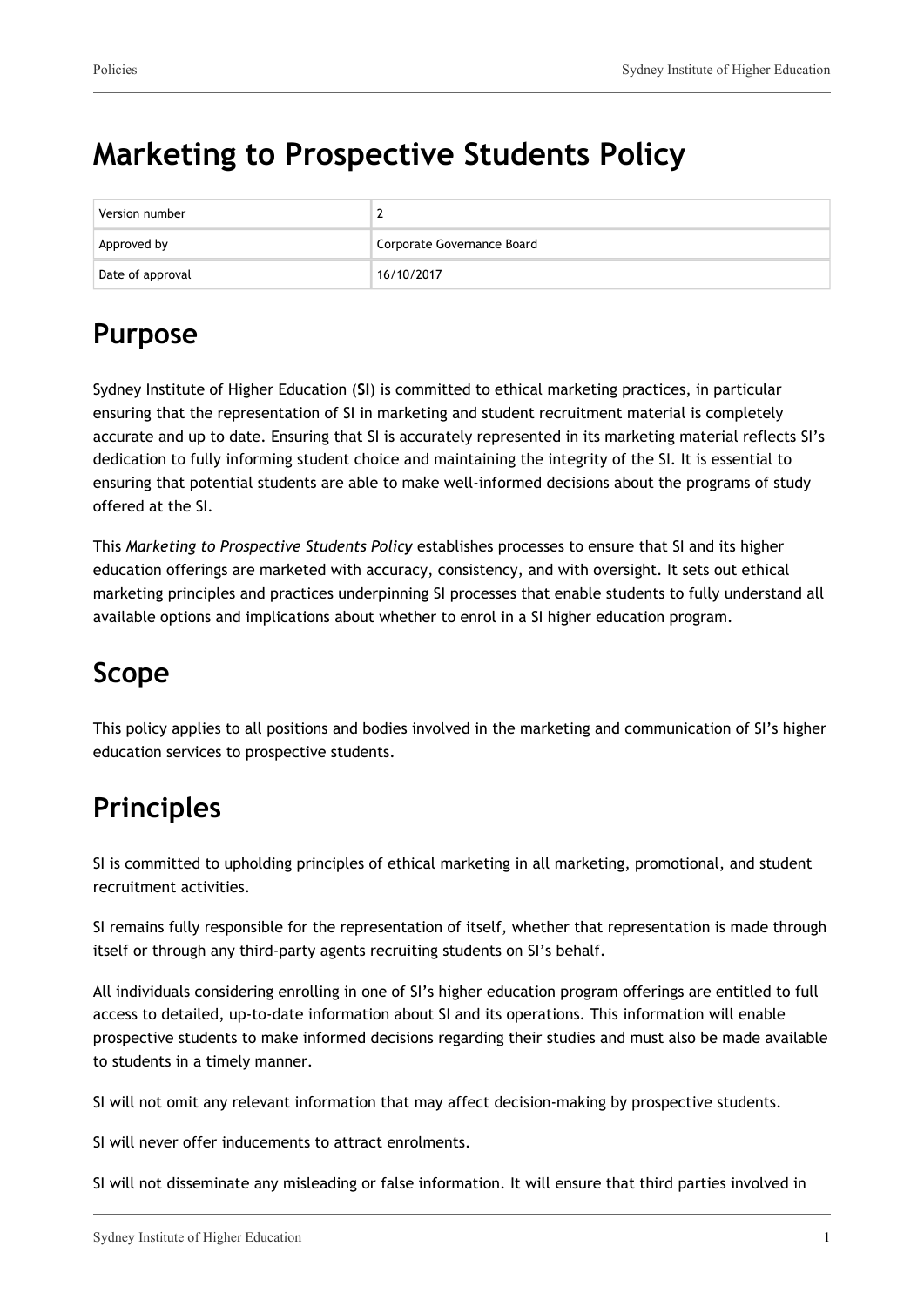# **Marketing to Prospective Students Policy**

| Version number   |                            |
|------------------|----------------------------|
| Approved by      | Corporate Governance Board |
| Date of approval | 16/10/2017                 |

## **Purpose**

Sydney Institute of Higher Education (**SI**) is committed to ethical marketing practices, in particular ensuring that the representation of SI in marketing and student recruitment material is completely accurate and up to date. Ensuring that SI is accurately represented in its marketing material reflects SI's dedication to fully informing student choice and maintaining the integrity of the SI. It is essential to ensuring that potential students are able to make well-informed decisions about the programs of study offered at the SI.

This *Marketing to Prospective Students Policy* establishes processes to ensure that SI and its higher education offerings are marketed with accuracy, consistency, and with oversight. It sets out ethical marketing principles and practices underpinning SI processes that enable students to fully understand all available options and implications about whether to enrol in a SI higher education program.

# **Scope**

This policy applies to all positions and bodies involved in the marketing and communication of SI's higher education services to prospective students.

# **Principles**

SI is committed to upholding principles of ethical marketing in all marketing, promotional, and student recruitment activities.

SI remains fully responsible for the representation of itself, whether that representation is made through itself or through any third-party agents recruiting students on SI's behalf.

All individuals considering enrolling in one of SI's higher education program offerings are entitled to full access to detailed, up-to-date information about SI and its operations. This information will enable prospective students to make informed decisions regarding their studies and must also be made available to students in a timely manner.

SI will not omit any relevant information that may affect decision-making by prospective students.

SI will never offer inducements to attract enrolments.

SI will not disseminate any misleading or false information. It will ensure that third parties involved in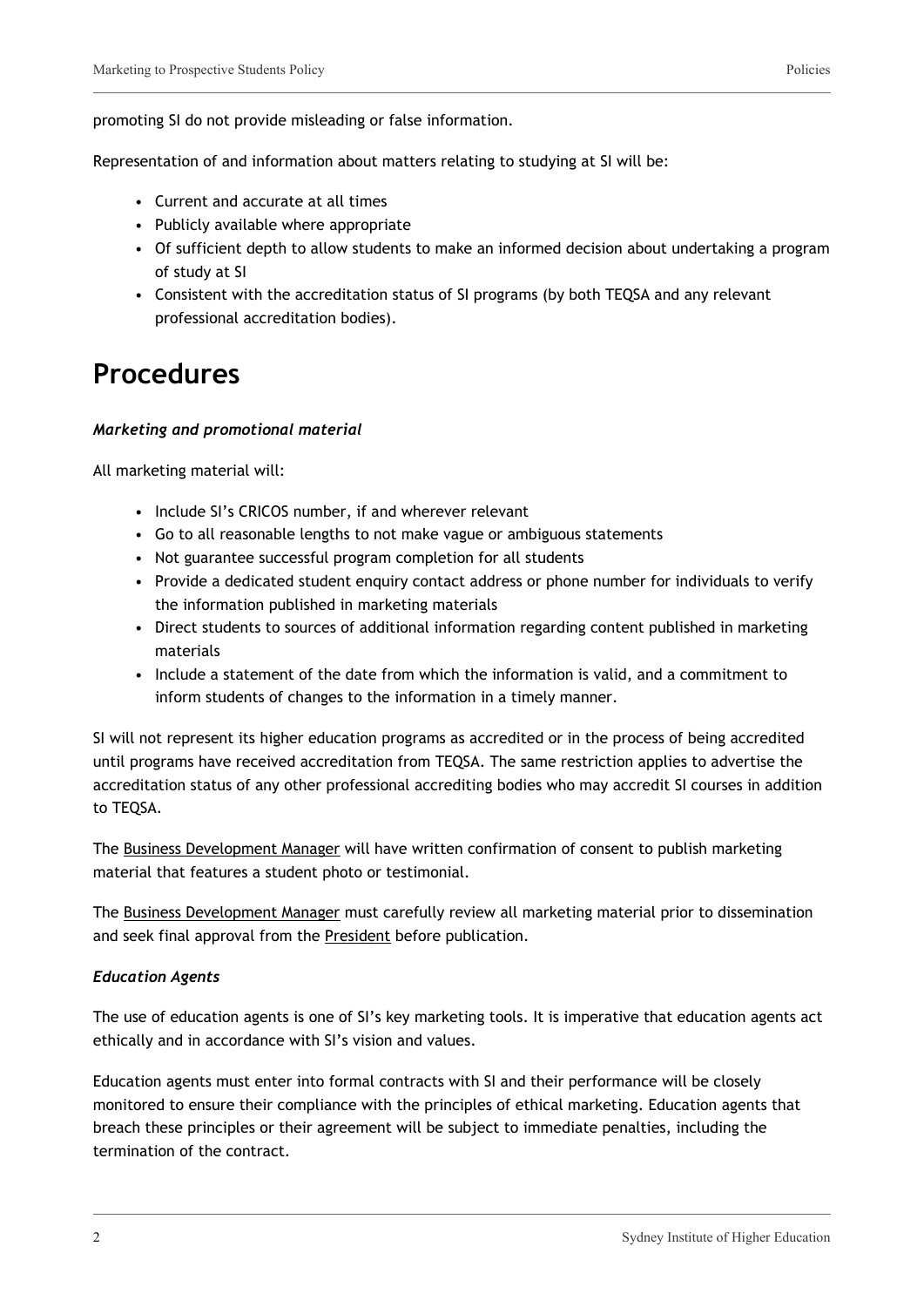promoting SI do not provide misleading or false information.

Representation of and information about matters relating to studying at SI will be:

- Current and accurate at all times
- Publicly available where appropriate
- Of sufficient depth to allow students to make an informed decision about undertaking a program of study at SI
- Consistent with the accreditation status of SI programs (by both TEQSA and any relevant professional accreditation bodies).

### **Procedures**

#### *Marketing and promotional material*

All marketing material will:

- Include SI's CRICOS number, if and wherever relevant
- Go to all reasonable lengths to not make vague or ambiguous statements
- Not guarantee successful program completion for all students
- Provide a dedicated student enquiry contact address or phone number for individuals to verify the information published in marketing materials
- Direct students to sources of additional information regarding content published in marketing materials
- Include a statement of the date from which the information is valid, and a commitment to inform students of changes to the information in a timely manner.

SI will not represent its higher education programs as accredited or in the process of being accredited until programs have received accreditation from TEQSA. The same restriction applies to advertise the accreditation status of any other professional accrediting bodies who may accredit SI courses in addition to TEQSA.

The Business Development Manager will have written confirmation of consent to publish marketing material that features a student photo or testimonial.

The Business Development Manager must carefully review all marketing material prior to dissemination and seek final approval from the President before publication.

#### *Education Agents*

The use of education agents is one of SI's key marketing tools. It is imperative that education agents act ethically and in accordance with SI's vision and values.

Education agents must enter into formal contracts with SI and their performance will be closely monitored to ensure their compliance with the principles of ethical marketing. Education agents that breach these principles or their agreement will be subject to immediate penalties, including the termination of the contract.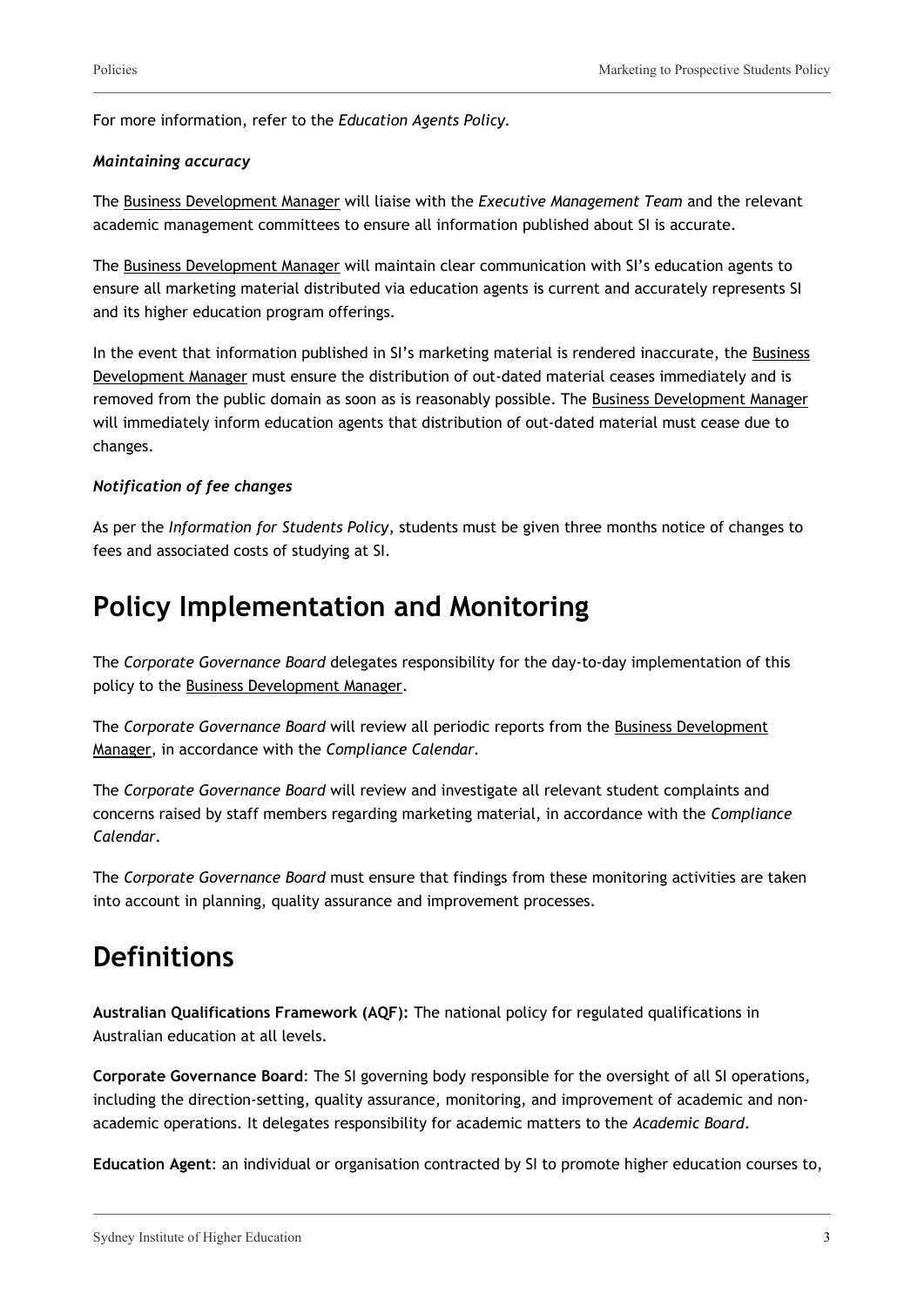For more information, refer to the *Education Agents Policy.*

#### *Maintaining accuracy*

The Business Development Manager will liaise with the *Executive Management Team* and the relevant academic management committees to ensure all information published about SI is accurate.

The Business Development Manager will maintain clear communication with SI's education agents to ensure all marketing material distributed via education agents is current and accurately represents SI and its higher education program offerings.

In the event that information published in SI's marketing material is rendered inaccurate, the Business Development Manager must ensure the distribution of out-dated material ceases immediately and is removed from the public domain as soon as is reasonably possible. The Business Development Manager will immediately inform education agents that distribution of out-dated material must cease due to changes.

#### *Notification of fee changes*

As per the *Information for Students Policy*, students must be given three months notice of changes to fees and associated costs of studying at SI.

## **Policy Implementation and Monitoring**

The *Corporate Governance Board* delegates responsibility for the day-to-day implementation of this policy to the Business Development Manager.

The *Corporate Governance Board* will review all periodic reports from the Business Development Manager, in accordance with the *Compliance Calendar.*

The *Corporate Governance Board* will review and investigate all relevant student complaints and concerns raised by staff members regarding marketing material, in accordance with the *Compliance Calendar.*

The *Corporate Governance Board* must ensure that findings from these monitoring activities are taken into account in planning, quality assurance and improvement processes.

## **Definitions**

**Australian Qualifications Framework (AQF):** The national policy for regulated qualifications in Australian education at all levels.

**Corporate Governance Board**: The SI governing body responsible for the oversight of all SI operations, including the direction-setting, quality assurance, monitoring, and improvement of academic and nonacademic operations. It delegates responsibility for academic matters to the *Academic Board*.

**Education Agent**: an individual or organisation contracted by SI to promote higher education courses to,